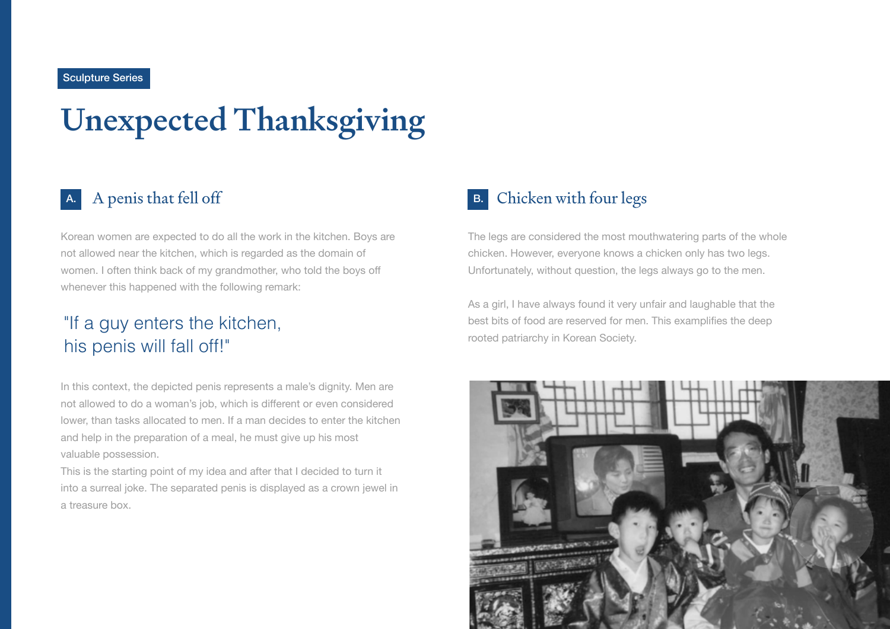#### Sculpture Series

# Unexpected Thanksgiving

### A.

Korean women are expected to do all the work in the kitchen. Boys are not allowed near the kitchen, which is regarded as the domain of women. I often think back of my grandmother, who told the boys off whenever this happened with the following remark:

## "If a guy enters the kitchen, his penis will fall off!"

In this context, the depicted penis represents a male's dignity. Men are not allowed to do a woman's job, which is different or even considered lower, than tasks allocated to men. If a man decides to enter the kitchen and help in the preparation of a meal, he must give up his most valuable possession.

This is the starting point of my idea and after that I decided to turn it into a surreal joke. The separated penis is displayed as a crown jewel in a treasure box.

#### A penis that fell off B. Chicken with four legs B.

The legs are considered the most mouthwatering parts of the whole chicken. However, everyone knows a chicken only has two legs. Unfortunately, without question, the legs always go to the men.

As a girl, I have always found it very unfair and laughable that the best bits of food are reserved for men. This examplifies the deep rooted patriarchy in Korean Society.

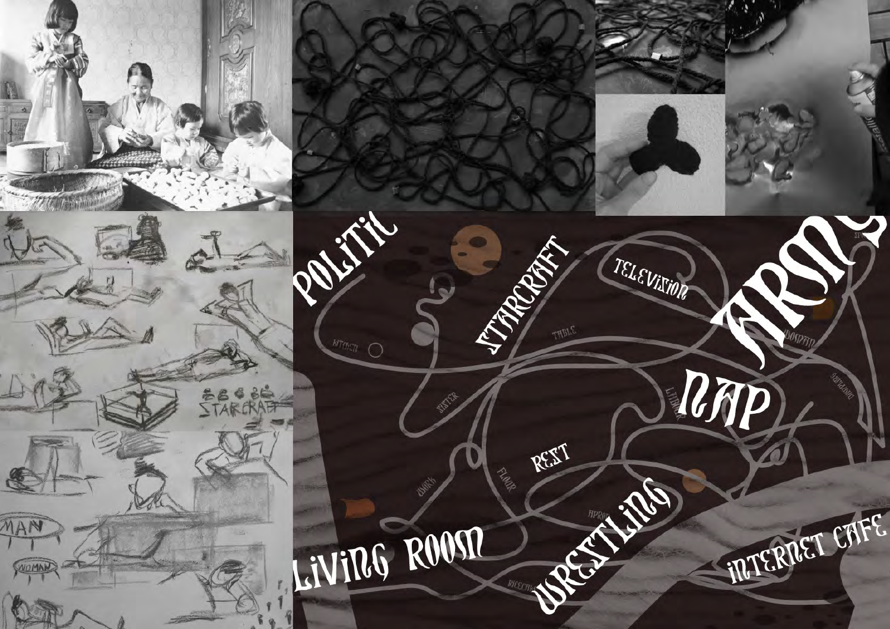